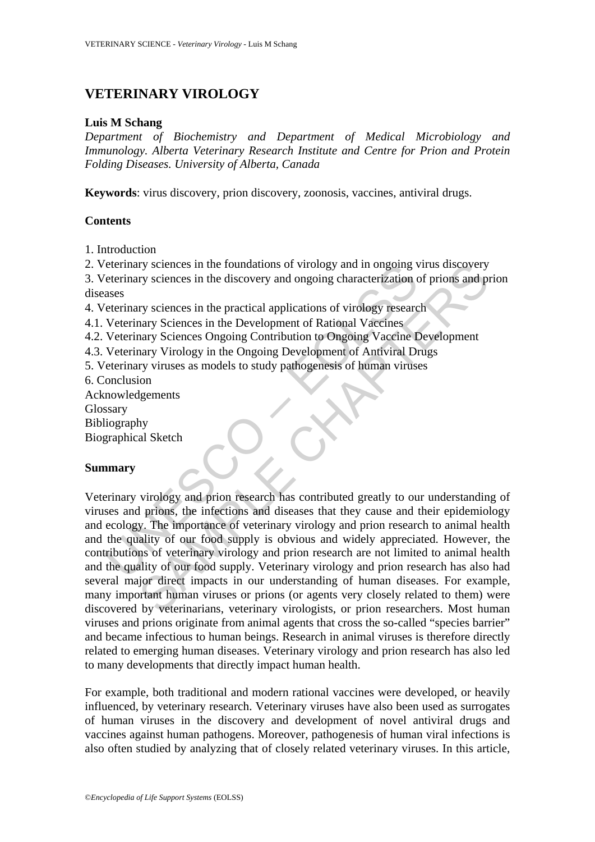# **VETERINARY VIROLOGY**

## **Luis M Schang**

*Department of Biochemistry and Department of Medical Microbiology and Immunology. Alberta Veterinary Research Institute and Centre for Prion and Protein Folding Diseases. University of Alberta, Canada* 

**Keywords**: virus discovery, prion discovery, zoonosis, vaccines, antiviral drugs.

## **Contents**

1. Introduction

2. Veterinary sciences in the foundations of virology and in ongoing virus discovery

3. Veterinary sciences in the discovery and ongoing characterization of prions and prion diseases

4. Veterinary sciences in the practical applications of virology research

4.1. Veterinary Sciences in the Development of Rational Vaccines

4.2. Veterinary Sciences Ongoing Contribution to Ongoing Vaccine Development

4.3. Veterinary Virology in the Ongoing Development of Antiviral Drugs

- 5. Veterinary viruses as models to study pathogenesis of human viruses
- 6. Conclusion

Acknowledgements

Glossary

Bibliography

Biographical Sketch

## **Summary**

eternary sciences in the foundations of virology and in ongoing verterinary sciences in the discovery and ongoing characterization conserved the discovery and ongoing characterization of verterinary Sciences in the Develop The state of the interesting of the state of the state of the state of the state of the state of the state of the state of the precises in the Development of Rational Vaceines<br>any Sciences in the Development of Rational Va Veterinary virology and prion research has contributed greatly to our understanding of viruses and prions, the infections and diseases that they cause and their epidemiology and ecology. The importance of veterinary virology and prion research to animal health and the quality of our food supply is obvious and widely appreciated. However, the contributions of veterinary virology and prion research are not limited to animal health and the quality of our food supply. Veterinary virology and prion research has also had several major direct impacts in our understanding of human diseases. For example, many important human viruses or prions (or agents very closely related to them) were discovered by veterinarians, veterinary virologists, or prion researchers. Most human viruses and prions originate from animal agents that cross the so-called "species barrier" and became infectious to human beings. Research in animal viruses is therefore directly related to emerging human diseases. Veterinary virology and prion research has also led to many developments that directly impact human health.

For example, both traditional and modern rational vaccines were developed, or heavily influenced, by veterinary research. Veterinary viruses have also been used as surrogates of human viruses in the discovery and development of novel antiviral drugs and vaccines against human pathogens. Moreover, pathogenesis of human viral infections is also often studied by analyzing that of closely related veterinary viruses. In this article,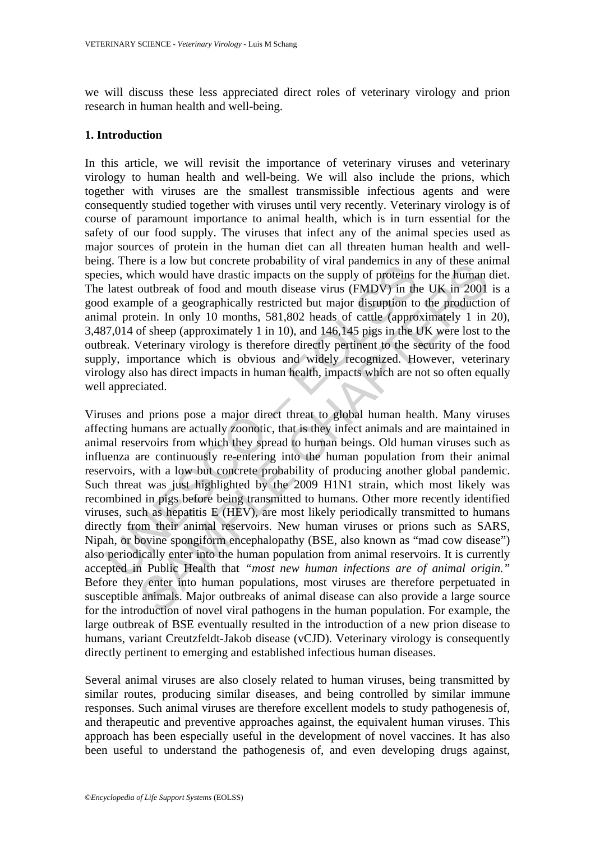we will discuss these less appreciated direct roles of veterinary virology and prion research in human health and well-being.

#### **1. Introduction**

In this article, we will revisit the importance of veterinary viruses and veterinary virology to human health and well-being. We will also include the prions, which together with viruses are the smallest transmissible infectious agents and were consequently studied together with viruses until very recently. Veterinary virology is of course of paramount importance to animal health, which is in turn essential for the safety of our food supply. The viruses that infect any of the animal species used as major sources of protein in the human diet can all threaten human health and wellbeing. There is a low but concrete probability of viral pandemics in any of these animal species, which would have drastic impacts on the supply of proteins for the human diet. The latest outbreak of food and mouth disease virus (FMDV) in the UK in 2001 is a good example of a geographically restricted but major disruption to the production of animal protein. In only 10 months, 581,802 heads of cattle (approximately 1 in 20), 3,487,014 of sheep (approximately 1 in 10), and 146,145 pigs in the UK were lost to the outbreak. Veterinary virology is therefore directly pertinent to the security of the food supply, importance which is obvious and widely recognized. However, veterinary virology also has direct impacts in human health, impacts which are not so often equally well appreciated.

g. There is now out concide procading or viar planearies in a given and increase the latter outbreak of food and mouth disease virus (FMDV) in the statest outbreak of food and mouth disease virus (FMDV) in the statest outb E is a tow out conclete probability of ryinap parameters in any of uses ant<br>inch would have drastic impacts on the supply of profeins for the human<br>outbreak of food and mouth disease virus (FMDV) in the UK in 2001<br>ple of Viruses and prions pose a major direct threat to global human health. Many viruses affecting humans are actually zoonotic, that is they infect animals and are maintained in animal reservoirs from which they spread to human beings. Old human viruses such as influenza are continuously re-entering into the human population from their animal reservoirs, with a low but concrete probability of producing another global pandemic. Such threat was just highlighted by the 2009 H1N1 strain, which most likely was recombined in pigs before being transmitted to humans. Other more recently identified viruses, such as hepatitis E (HEV), are most likely periodically transmitted to humans directly from their animal reservoirs. New human viruses or prions such as SARS, Nipah, or bovine spongiform encephalopathy (BSE, also known as "mad cow disease") also periodically enter into the human population from animal reservoirs. It is currently accepted in Public Health that *"most new human infections are of animal origin."*  Before they enter into human populations, most viruses are therefore perpetuated in susceptible animals. Major outbreaks of animal disease can also provide a large source for the introduction of novel viral pathogens in the human population. For example, the large outbreak of BSE eventually resulted in the introduction of a new prion disease to humans, variant Creutzfeldt-Jakob disease (vCJD). Veterinary virology is consequently directly pertinent to emerging and established infectious human diseases.

Several animal viruses are also closely related to human viruses, being transmitted by similar routes, producing similar diseases, and being controlled by similar immune responses. Such animal viruses are therefore excellent models to study pathogenesis of, and therapeutic and preventive approaches against, the equivalent human viruses. This approach has been especially useful in the development of novel vaccines. It has also been useful to understand the pathogenesis of, and even developing drugs against,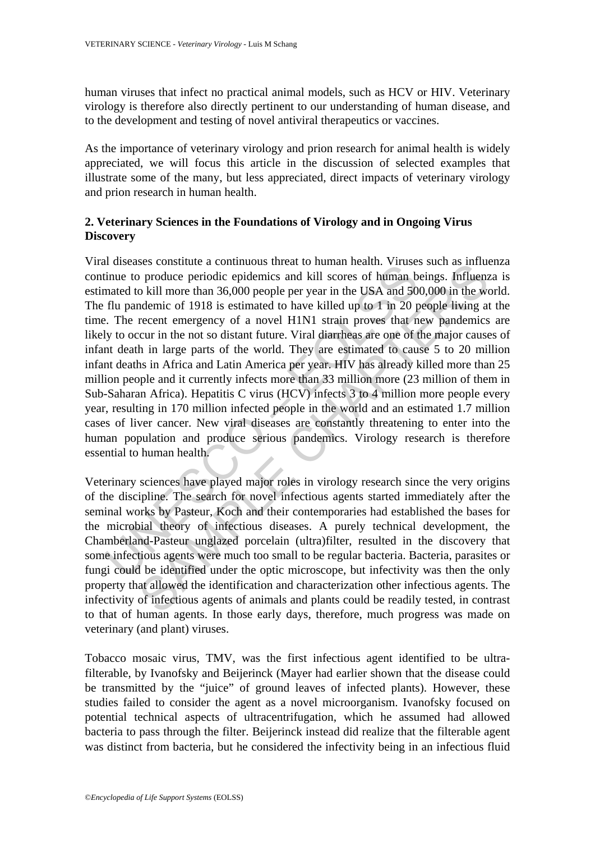human viruses that infect no practical animal models, such as HCV or HIV. Veterinary virology is therefore also directly pertinent to our understanding of human disease, and to the development and testing of novel antiviral therapeutics or vaccines.

As the importance of veterinary virology and prion research for animal health is widely appreciated, we will focus this article in the discussion of selected examples that illustrate some of the many, but less appreciated, direct impacts of veterinary virology and prion research in human health.

# **2. Veterinary Sciences in the Foundations of Virology and in Ongoing Virus Discovery**

in the discussion state to minimi meanti-<br>
in the to produce periodic epidemics and kill scores of human batter<br>
intert to produce periodic epidemics and kill scores of human b<br>
mated to kill more than 36,000 people per ye se constante a communous threat to numan heath. Vruses sect as firmula<br>or produce periodic epidemics and kill scores of human beings. Influenz<br>o kill more than 36,000 people per year in the USA and 500,000 in the wonder<br>in Viral diseases constitute a continuous threat to human health. Viruses such as influenza continue to produce periodic epidemics and kill scores of human beings. Influenza is estimated to kill more than 36,000 people per year in the USA and 500,000 in the world. The flu pandemic of 1918 is estimated to have killed up to 1 in 20 people living at the time. The recent emergency of a novel H1N1 strain proves that new pandemics are likely to occur in the not so distant future. Viral diarrheas are one of the major causes of infant death in large parts of the world. They are estimated to cause 5 to 20 million infant deaths in Africa and Latin America per year. HIV has already killed more than 25 million people and it currently infects more than 33 million more (23 million of them in Sub-Saharan Africa). Hepatitis C virus (HCV) infects 3 to 4 million more people every year, resulting in 170 million infected people in the world and an estimated 1.7 million cases of liver cancer. New viral diseases are constantly threatening to enter into the human population and produce serious pandemics. Virology research is therefore essential to human health.

Veterinary sciences have played major roles in virology research since the very origins of the discipline. The search for novel infectious agents started immediately after the seminal works by Pasteur, Koch and their contemporaries had established the bases for the microbial theory of infectious diseases. A purely technical development, the Chamberland-Pasteur unglazed porcelain (ultra)filter, resulted in the discovery that some infectious agents were much too small to be regular bacteria. Bacteria, parasites or fungi could be identified under the optic microscope, but infectivity was then the only property that allowed the identification and characterization other infectious agents. The infectivity of infectious agents of animals and plants could be readily tested, in contrast to that of human agents. In those early days, therefore, much progress was made on veterinary (and plant) viruses.

Tobacco mosaic virus, TMV, was the first infectious agent identified to be ultrafilterable, by Ivanofsky and Beijerinck (Mayer had earlier shown that the disease could be transmitted by the "juice" of ground leaves of infected plants). However, these studies failed to consider the agent as a novel microorganism. Ivanofsky focused on potential technical aspects of ultracentrifugation, which he assumed had allowed bacteria to pass through the filter. Beijerinck instead did realize that the filterable agent was distinct from bacteria, but he considered the infectivity being in an infectious fluid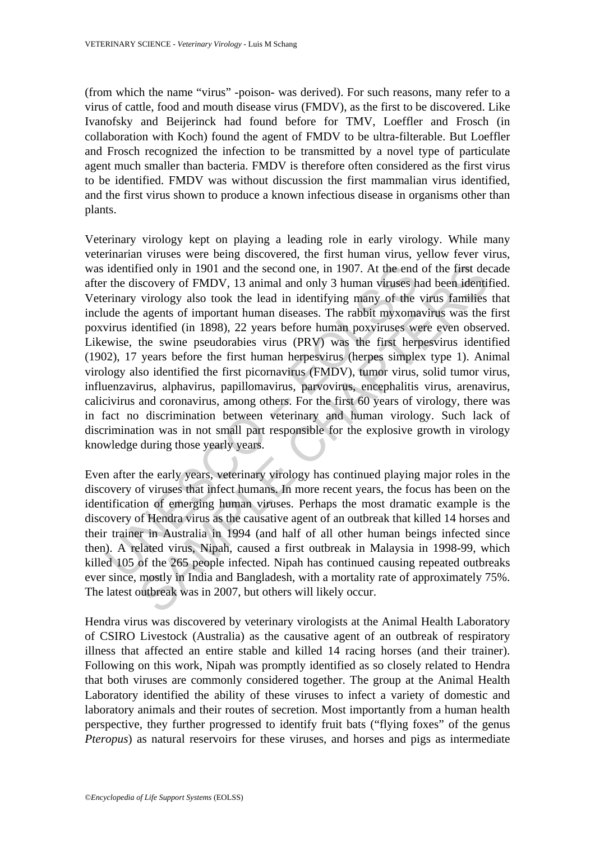(from which the name "virus" -poison- was derived). For such reasons, many refer to a virus of cattle, food and mouth disease virus (FMDV), as the first to be discovered. Like Ivanofsky and Beijerinck had found before for TMV, Loeffler and Frosch (in collaboration with Koch) found the agent of FMDV to be ultra-filterable. But Loeffler and Frosch recognized the infection to be transmitted by a novel type of particulate agent much smaller than bacteria. FMDV is therefore often considered as the first virus to be identified. FMDV was without discussion the first mammalian virus identified, and the first virus shown to produce a known infectious disease in organisms other than plants.

identified only in 1901 and the second one, in 1907. At the end<br>
the discovery of FMDV, 13 animal and only 3 human viruses h<br>
ende the agents of important human diseases. The rabbit myxome<br>
wirus identified (in 1898), 22 y ied only in 1901 and the second one, in 1907. At the end of the first descovery of FMDV, 13 animal and only 3 human viruses had been identitively was took the lead in dentitiving many of the virsa families verology also to Veterinary virology kept on playing a leading role in early virology. While many veterinarian viruses were being discovered, the first human virus, yellow fever virus, was identified only in 1901 and the second one, in 1907. At the end of the first decade after the discovery of FMDV, 13 animal and only 3 human viruses had been identified. Veterinary virology also took the lead in identifying many of the virus families that include the agents of important human diseases. The rabbit myxomavirus was the first poxvirus identified (in 1898), 22 years before human poxviruses were even observed. Likewise, the swine pseudorabies virus (PRV) was the first herpesvirus identified (1902), 17 years before the first human herpesvirus (herpes simplex type 1). Animal virology also identified the first picornavirus (FMDV), tumor virus, solid tumor virus, influenzavirus, alphavirus, papillomavirus, parvovirus, encephalitis virus, arenavirus, calicivirus and coronavirus, among others. For the first 60 years of virology, there was in fact no discrimination between veterinary and human virology. Such lack of discrimination was in not small part responsible for the explosive growth in virology knowledge during those yearly years.

Even after the early years, veterinary virology has continued playing major roles in the discovery of viruses that infect humans. In more recent years, the focus has been on the identification of emerging human viruses. Perhaps the most dramatic example is the discovery of Hendra virus as the causative agent of an outbreak that killed 14 horses and their trainer in Australia in 1994 (and half of all other human beings infected since then). A related virus, Nipah, caused a first outbreak in Malaysia in 1998-99, which killed 105 of the 265 people infected. Nipah has continued causing repeated outbreaks ever since, mostly in India and Bangladesh, with a mortality rate of approximately 75%. The latest outbreak was in 2007, but others will likely occur.

Hendra virus was discovered by veterinary virologists at the Animal Health Laboratory of CSIRO Livestock (Australia) as the causative agent of an outbreak of respiratory illness that affected an entire stable and killed 14 racing horses (and their trainer). Following on this work, Nipah was promptly identified as so closely related to Hendra that both viruses are commonly considered together. The group at the Animal Health Laboratory identified the ability of these viruses to infect a variety of domestic and laboratory animals and their routes of secretion. Most importantly from a human health perspective, they further progressed to identify fruit bats ("flying foxes" of the genus *Pteropus*) as natural reservoirs for these viruses, and horses and pigs as intermediate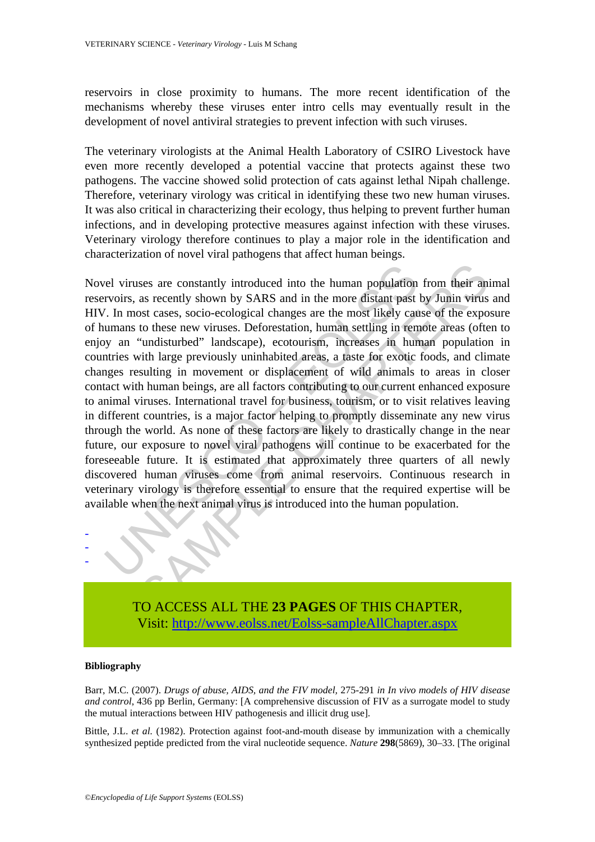reservoirs in close proximity to humans. The more recent identification of the mechanisms whereby these viruses enter intro cells may eventually result in the development of novel antiviral strategies to prevent infection with such viruses.

The veterinary virologists at the Animal Health Laboratory of CSIRO Livestock have even more recently developed a potential vaccine that protects against these two pathogens. The vaccine showed solid protection of cats against lethal Nipah challenge. Therefore, veterinary virology was critical in identifying these two new human viruses. It was also critical in characterizing their ecology, thus helping to prevent further human infections, and in developing protective measures against infection with these viruses. Veterinary virology therefore continues to play a major role in the identification and characterization of novel viral pathogens that affect human beings.

rel viruses are constantly introduced into the human population<br>rvoirs, as recently shown by SARS and in the more distant past<br>7. In most cases, socio-ecological changes are the most likely can<br>umans to these new viruses. ses are constantly introduced into the human population from their and a recently shown by SARS and in the more distant past by Junin virus ost cases, socio-ecological changes are the most likely cause of the expo to these Novel viruses are constantly introduced into the human population from their animal reservoirs, as recently shown by SARS and in the more distant past by Junin virus and HIV. In most cases, socio-ecological changes are the most likely cause of the exposure of humans to these new viruses. Deforestation, human settling in remote areas (often to enjoy an "undisturbed" landscape), ecotourism, increases in human population in countries with large previously uninhabited areas, a taste for exotic foods, and climate changes resulting in movement or displacement of wild animals to areas in closer contact with human beings, are all factors contributing to our current enhanced exposure to animal viruses. International travel for business, tourism, or to visit relatives leaving in different countries, is a major factor helping to promptly disseminate any new virus through the world. As none of these factors are likely to drastically change in the near future, our exposure to novel viral pathogens will continue to be exacerbated for the foreseeable future. It is estimated that approximately three quarters of all newly discovered human viruses come from animal reservoirs. Continuous research in veterinary virology is therefore essential to ensure that the required expertise will be available when the next animal virus is introduced into the human population.



TO ACCESS ALL THE **23 PAGES** OF THIS CHAPTER, Vis[it: http://www.eolss.net/Eolss-sampleAllChapter.aspx](https://www.eolss.net/ebooklib/sc_cart.aspx?File=E5-15A-23)

#### **Bibliography**

Barr, M.C. (2007). *Drugs of abuse, AIDS, and the FIV model,* 275-291 *in In vivo models of HIV disease and control*, 436 pp Berlin, Germany: [A comprehensive discussion of FIV as a surrogate model to study the mutual interactions between HIV pathogenesis and illicit drug use].

Bittle, J.L. *et al.* (1982). Protection against foot-and-mouth disease by immunization with a chemically synthesized peptide predicted from the viral nucleotide sequence. *Nature* **298**(5869), 30–33. [The original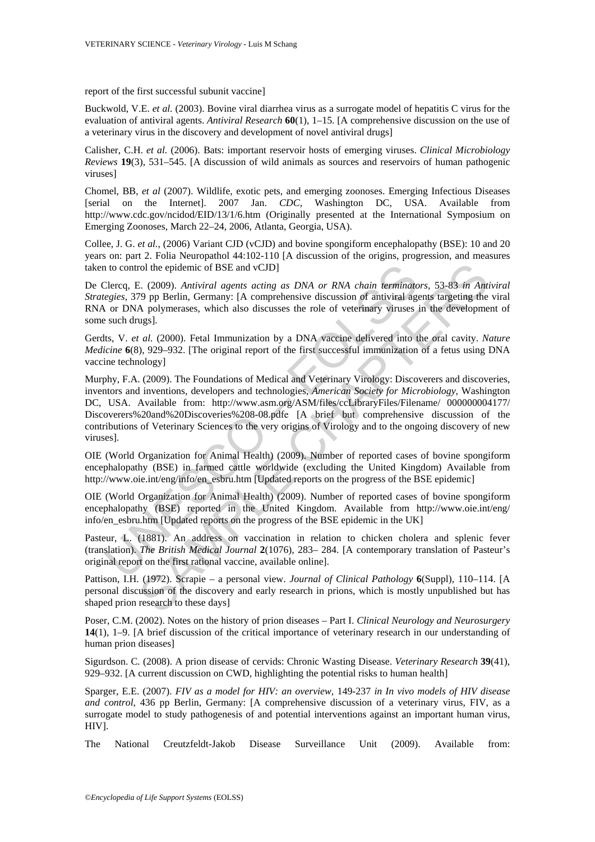#### report of the first successful subunit vaccine]

Buckwold, V.E. *et al.* (2003). Bovine viral diarrhea virus as a surrogate model of hepatitis C virus for the evaluation of antiviral agents. *Antiviral Research* **60**(1), 1–15. [A comprehensive discussion on the use of a veterinary virus in the discovery and development of novel antiviral drugs]

Calisher, C.H. *et al.* (2006). Bats: important reservoir hosts of emerging viruses. *Clinical Microbiology Reviews* **19**(3), 531–545. [A discussion of wild animals as sources and reservoirs of human pathogenic viruses]

Chomel, BB, *et al* (2007). Wildlife, exotic pets, and emerging zoonoses. Emerging Infectious Diseases [serial on the Internet]. 2007 Jan. *CDC,* Washington DC, USA. Available from http://www.cdc.gov/ncidod/EID/13/1/6.htm (Originally presented at the International Symposium on Emerging Zoonoses, March 22–24, 2006, Atlanta, Georgia, USA).

Collee, J. G. *et al.,* (2006) Variant CJD (vCJD) and bovine spongiform encephalopathy (BSE): 10 and 20 years on: part 2. Folia Neuropathol 44:102-110 [A discussion of the origins, progression, and measures taken to control the epidemic of BSE and vCJD]

De Clercq, E. (2009). *Antiviral agents acting as DNA or RNA chain terminators,* 53-83 *in Antiviral Strategies*, 379 pp Berlin, Germany: [A comprehensive discussion of antiviral agents targeting the viral RNA or DNA polymerases, which also discusses the role of veterinary viruses in the development of some such drugs].

Gerdts, V. *et al.* (2000). Fetal Immunization by a DNA vaccine delivered into the oral cavity. *Nature Medicine* **6**(8), 929–932. [The original report of the first successful immunization of a fetus using DNA vaccine technology]

1 to control the epidemic of BSE and vCJD]<br>Clercq, E. (2009). *Antiviral agents acting as DNA or RNA chain terminato*<br>*iggies,* 379 p Berlin, Germany: [A comprehensive discussion of antiviral age<br>*is* or DNA polymerases, rol the epidemic of BSE and vCJD]<br>2. (2009). Amiviral agents acting as DNA or RNA chain reminators, 53-83 in Am<br>3 (2009). Amiviral agents acting as DNA or RNA chain reminators, 53-83 in Am<br>3 (2000). Fetal Immunization by Murphy, F.A. (2009). The Foundations of Medical and Veterinary Virology: Discoverers and discoveries, inventors and inventions, developers and technologies, *American Society for Microbiology*, Washington DC, USA. Available from: http://www.asm.org/ASM/files/ccLibraryFiles/Filename/ 000000004177/ Discoverers%20and%20Discoveries%208-08.pdfe [A brief but comprehensive discussion of the contributions of Veterinary Sciences to the very origins of Virology and to the ongoing discovery of new viruses].

OIE (World Organization for Animal Health) (2009). Number of reported cases of bovine spongiform encephalopathy (BSE) in farmed cattle worldwide (excluding the United Kingdom) Available from http://www.oie.int/eng/info/en\_esbru.htm [Updated reports on the progress of the BSE epidemic]

OIE (World Organization for Animal Health) (2009). Number of reported cases of bovine spongiform encephalopathy (BSE) reported in the United Kingdom. Available from http://www.oie.int/eng/ info/en\_esbru.htm [Updated reports on the progress of the BSE epidemic in the UK]

Pasteur, L. (1881). An address on vaccination in relation to chicken cholera and splenic fever (translation). *The British Medical Journal* **2**(1076), 283– 284. [A contemporary translation of Pasteur's original report on the first rational vaccine, available online].

Pattison, I.H. (1972). Scrapie – a personal view. *Journal of Clinical Pathology* **6**(Suppl), 110–114. [A personal discussion of the discovery and early research in prions, which is mostly unpublished but has shaped prion research to these days]

Poser, C.M. (2002). Notes on the history of prion diseases – Part I. *Clinical Neurology and Neurosurgery* **14**(1), 1–9. [A brief discussion of the critical importance of veterinary research in our understanding of human prion diseases]

Sigurdson. C*.* (2008). A prion disease of cervids: Chronic Wasting Disease. *Veterinary Research* **39**(41), 929–932. [A current discussion on CWD, highlighting the potential risks to human health]

Sparger, E.E. (2007). *FIV as a model for HIV: an overview,* 149-237 *in In vivo models of HIV disease and control*, 436 pp Berlin, Germany: [A comprehensive discussion of a veterinary virus, FIV, as a surrogate model to study pathogenesis of and potential interventions against an important human virus, HIV].

The National Creutzfeldt-Jakob Disease Surveillance Unit (2009). Available from: